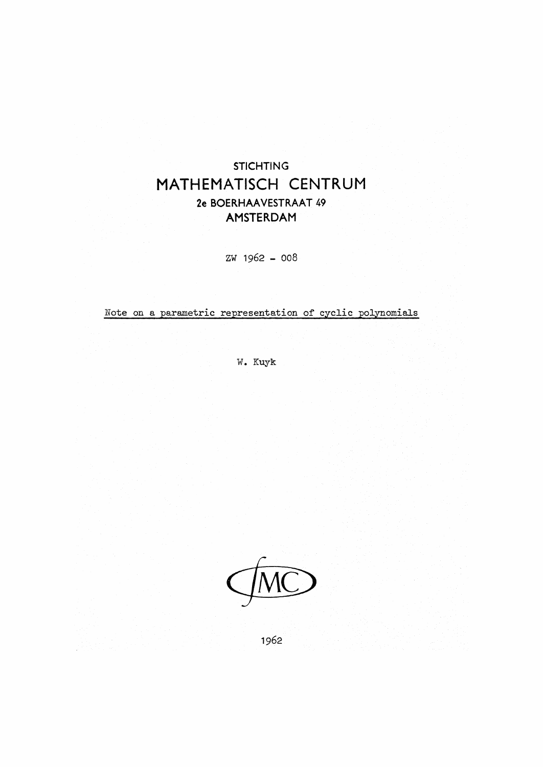## **STICHTING** MATHEMATISCH CENTRUM 2e BOERHAA VESTRAAT 49 AMSTERDAM

zw 1962 - 008

Note on a parametric representation of cyclic polynomials

W. Kuyk

1962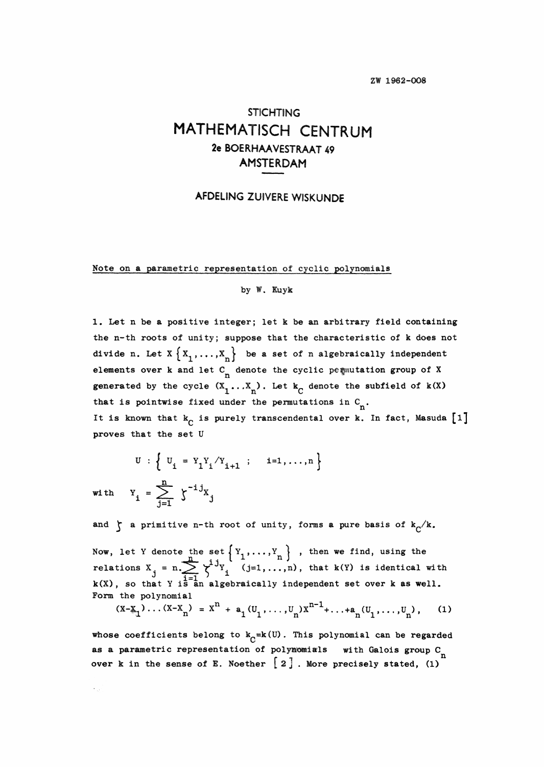## **STICHTING** MATHEMATISCH CENTRUM **2e BOERHAAVESTRAAT 49** AMSTERDAM

## AFDELING ZUIVERE WISKUNDE

Note on **a** parametric representation of cyclic polynomials

## by W. Kuyk

1. Let n be **a** positive integer; let k be an arbitrary field containing the n-th roots of unity; suppose that the characteristic of k does not divide n. Let  $X\left\{X_1, \ldots, X_n\right\}$  be a set of n algebraically independent elements over k and let  $C_n$  denote the cyclic permutation group of X generated by the cycle  $(X_1 \ldots X_n)$ . Let  $k_c$  denote the subfield of  $k(X)$ that is pointwise fixed under the permutations in  $C_n$ . It is known that  $k_c$  is purely transcendental over  $k$ . In fact, Masuda  $\begin{bmatrix} 1 \end{bmatrix}$ proves that the set U

$$
U : \left\{ U_{i} = Y_{1}Y_{i}/Y_{i+1} ; i = 1,..., n \right\}
$$
  

$$
Y_{i} = \sum_{i=1}^{n} \zeta^{-1} X_{j}
$$

with

 $\epsilon_{\rm eff}$ 

and  $\zeta$  a primitive n-th root of unity, forms a pure basis of  $k_c/k$ .

Now, let Y denote the set  $\{Y_1, \ldots, Y_n\}$ , then we find, using the relations  $X_i = n \sum_{i=1}^{n} \chi_i^{\frac{1}{2}} Y_i^{\frac{1}{2}} (j=1,...,n)$ , that k(Y) is identical with  $k(X)$ , so that Y is an algebraically independent set over k as well. Form the polynomial

$$
(x-x_1)\dots(x-x_n) = x^n + a_1(v_1,\dots,v_n)x^{n-1} + \dots + a_n(v_1,\dots,v_n),
$$
 (1)

whose coefficients belong to  $k_0 = k(U)$ . This polynomial can be regarded as a parametric representation of polynomials with Galois group C<sub>n</sub> over k in the sense of E. Noether  $\begin{bmatrix} 2 \end{bmatrix}$ . More precisely stated, (1)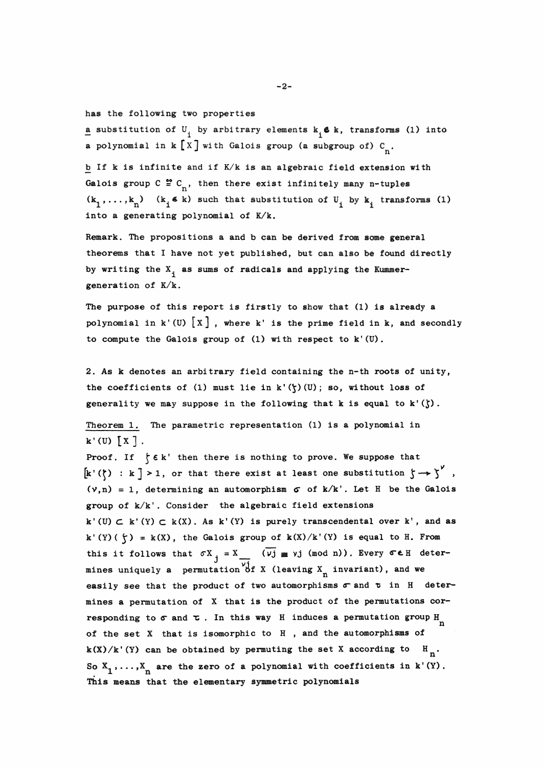**haa** the following two properties

**a** substitution of  $U_1$  by arbitrary elements  $k_1 \in k$ , transforms (1) into **a** polynomial in  $k[X]$  with Galois group (a subgroup of)  $C_n$ .

b If k is infinite and if  $K/k$  is an algebraic field extension with Galois group  $C \ncong C_n$ , then there exist infinitely many n-tuples  $(k_1, \ldots, k_n)$  ( $k_i \in k$ ) such that substitution of  $U_i$  by  $k_i$  transforms (1) into a generating polynomial of  $K/k$ .

Remark. The propositions a and b can be derived from some general theorems that I have not yet published, but can also be found directly by writing the  $X_1$  as sums of radicals and applying the Kummergeneration of  $K/k$ .

The purpose of this report is firstly to **show** that (1) **is already a**  polynomial in  $k'(U)$   $[X]$ , where k' is the prime field in k, and secondly to compute the Galois group of (1) with respect to  $k'(U)$ .

2. As k denotes an arbitrary field containing the n-th roots of unity, the coefficients of (1) must lie in  $k'(\zeta)(U)$ ; so, without loss of generality we may suppose in the following that k is equal to  $k'(\zeta)$ .

Theorem 1. The parametric representation  $(1)$  is a polynomial in  $k'(U)$   $\lceil x \rceil$ .

Proof. If  $\nmid \xi$  is then there is nothing to prove. We suppose that  $\left[k'(\zeta) : k\right] > 1$ , or that there exist at least one substitution  $\zeta \rightarrow \zeta'$ ,  $(v,n) = 1$ , determining an automorphism  $\sigma$  of k/k'. Let H be the Galois group of k/k'. Consider the algebraic field extensions  $k'(U) \subset k'(Y) \subset k(X)$ . As  $k'(Y)$  is purely transcendental over  $k'$ , and as k' (Y) ( $\zeta$ ) = k(X), the Galois group of  $k(X)/k'$  (Y) is equal to H. From this it follows that  $\sigma X_j = X_{\sigma}$  ( $\overline{v_j} \equiv v_j$  (mod n)). Every  $\sigma \in H$  determines uniquely a permutation of X (leaving X<sub>n</sub> invariant), and we easily see that the product of two automorphisms  $\sigma$  and  $\tau$  in H deter**aines a** permutation of X that is the product of the penautations corresponding to  $\sigma$  and  $\tau$ . In this way H induces a permutation group  $H_{n}$ of the set  $X$  that is isomorphic to  $H$ , and the automorphisms of  $k(X)/k'(Y)$  can be obtained by permuting the set X according to  $H_n$ . So  $X_1$ , ...,  $X_n$  are the zero of a polynomial with coefficients in k'(Y). This means that the elementary symmetric polynomials